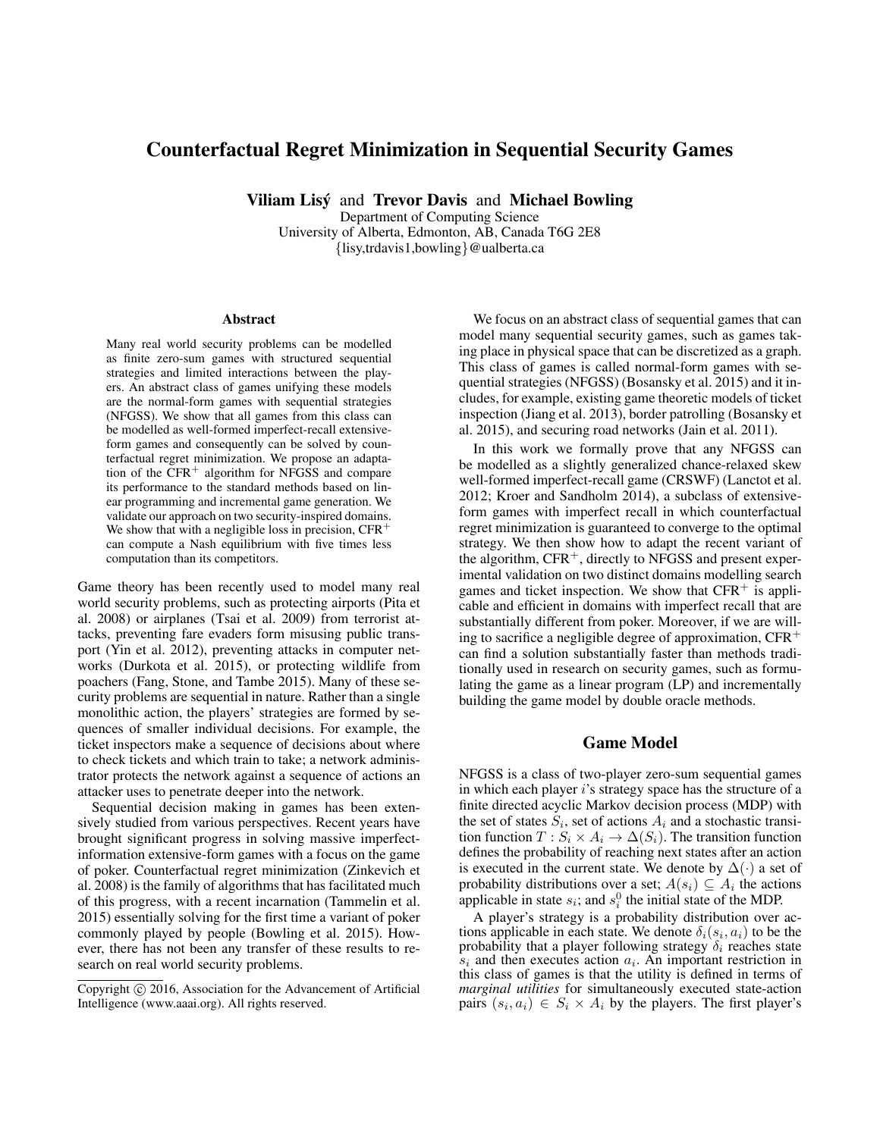# Counterfactual Regret Minimization in Sequential Security Games

Viliam Lisý and Trevor Davis and Michael Bowling

Department of Computing Science University of Alberta, Edmonton, AB, Canada T6G 2E8 {lisy,trdavis1,bowling}@ualberta.ca

#### **Abstract**

Many real world security problems can be modelled as finite zero-sum games with structured sequential strategies and limited interactions between the players. An abstract class of games unifying these models are the normal-form games with sequential strategies (NFGSS). We show that all games from this class can be modelled as well-formed imperfect-recall extensiveform games and consequently can be solved by counterfactual regret minimization. We propose an adaptation of the  $CFR<sup>+</sup>$  algorithm for NFGSS and compare its performance to the standard methods based on linear programming and incremental game generation. We validate our approach on two security-inspired domains. We show that with a negligible loss in precision,  $CFR<sup>+</sup>$ can compute a Nash equilibrium with five times less computation than its competitors.

Game theory has been recently used to model many real world security problems, such as protecting airports (Pita et al. 2008) or airplanes (Tsai et al. 2009) from terrorist attacks, preventing fare evaders form misusing public transport (Yin et al. 2012), preventing attacks in computer networks (Durkota et al. 2015), or protecting wildlife from poachers (Fang, Stone, and Tambe 2015). Many of these security problems are sequential in nature. Rather than a single monolithic action, the players' strategies are formed by sequences of smaller individual decisions. For example, the ticket inspectors make a sequence of decisions about where to check tickets and which train to take; a network administrator protects the network against a sequence of actions an attacker uses to penetrate deeper into the network.

Sequential decision making in games has been extensively studied from various perspectives. Recent years have brought significant progress in solving massive imperfectinformation extensive-form games with a focus on the game of poker. Counterfactual regret minimization (Zinkevich et al. 2008) is the family of algorithms that has facilitated much of this progress, with a recent incarnation (Tammelin et al. 2015) essentially solving for the first time a variant of poker commonly played by people (Bowling et al. 2015). However, there has not been any transfer of these results to research on real world security problems.

We focus on an abstract class of sequential games that can model many sequential security games, such as games taking place in physical space that can be discretized as a graph. This class of games is called normal-form games with sequential strategies (NFGSS) (Bosansky et al. 2015) and it includes, for example, existing game theoretic models of ticket inspection (Jiang et al. 2013), border patrolling (Bosansky et al. 2015), and securing road networks (Jain et al. 2011).

In this work we formally prove that any NFGSS can be modelled as a slightly generalized chance-relaxed skew well-formed imperfect-recall game (CRSWF) (Lanctot et al. 2012; Kroer and Sandholm 2014), a subclass of extensiveform games with imperfect recall in which counterfactual regret minimization is guaranteed to converge to the optimal strategy. We then show how to adapt the recent variant of the algorithm, CFR<sup>+</sup>, directly to NFGSS and present experimental validation on two distinct domains modelling search games and ticket inspection. We show that  $CFR<sup>+</sup>$  is applicable and efficient in domains with imperfect recall that are substantially different from poker. Moreover, if we are willing to sacrifice a negligible degree of approximation,  $CFR<sup>+</sup>$ can find a solution substantially faster than methods traditionally used in research on security games, such as formulating the game as a linear program (LP) and incrementally building the game model by double oracle methods.

#### Game Model

NFGSS is a class of two-player zero-sum sequential games in which each player i's strategy space has the structure of a finite directed acyclic Markov decision process (MDP) with the set of states  $S_i$ , set of actions  $A_i$  and a stochastic transition function  $T : S_i \times A_i \to \Delta(S_i)$ . The transition function defines the probability of reaching next states after an action is executed in the current state. We denote by  $\Delta(\cdot)$  a set of probability distributions over a set;  $A(s_i) \subseteq A_i$  the actions applicable in state  $s_i$ ; and  $s_i^0$  the initial state of the MDP.

A player's strategy is a probability distribution over actions applicable in each state. We denote  $\delta_i(s_i, a_i)$  to be the probability that a player following strategy  $\delta_i$  reaches state  $s_i$  and then executes action  $a_i$ . An important restriction in this class of games is that the utility is defined in terms of *marginal utilities* for simultaneously executed state-action pairs  $(s_i, a_i) \in S_i \times A_i$  by the players. The first player's

Copyright  $\odot$  2016, Association for the Advancement of Artificial Intelligence (www.aaai.org). All rights reserved.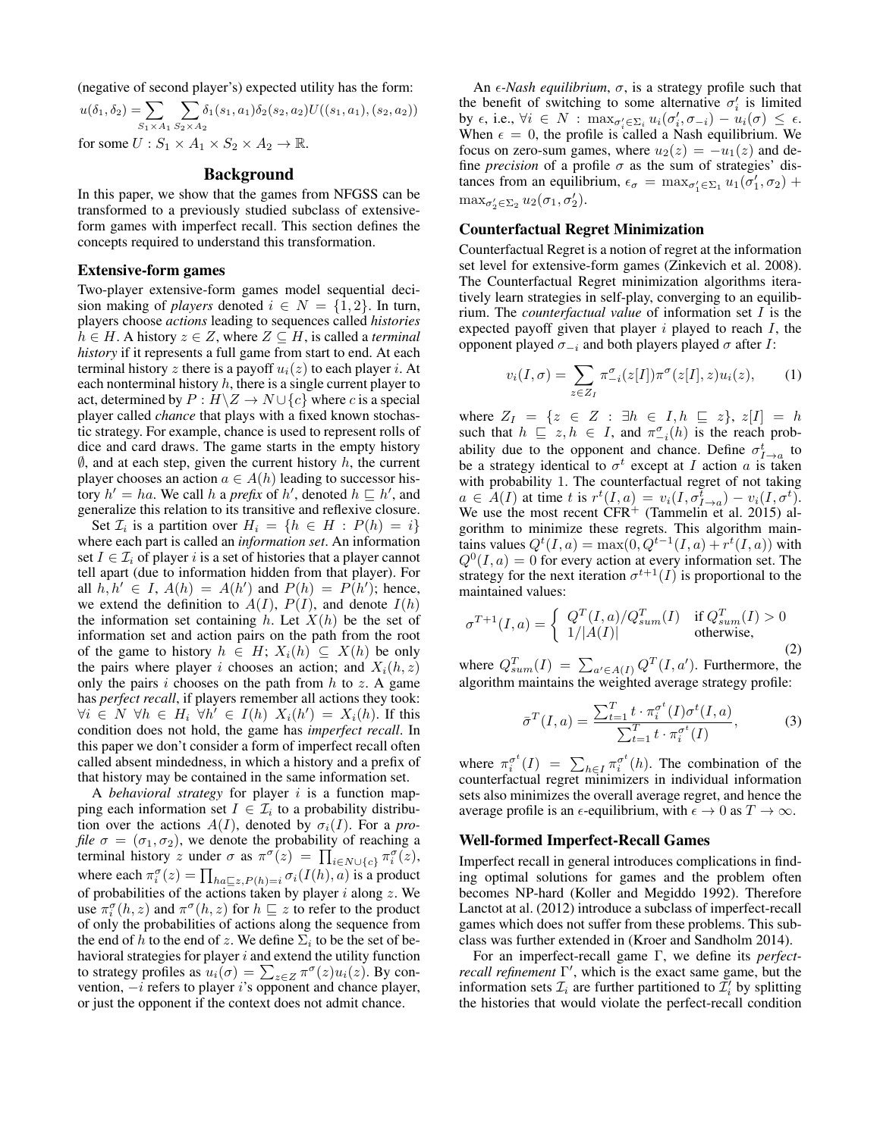(negative of second player's) expected utility has the form:

$$
u(\delta_1, \delta_2) = \sum_{S_1 \times A_1} \sum_{S_2 \times A_2} \delta_1(s_1, a_1) \delta_2(s_2, a_2) U((s_1, a_1), (s_2, a_2))
$$

for some  $U: S_1 \times A_1 \times S_2 \times A_2 \rightarrow \mathbb{R}$ .

### Background

In this paper, we show that the games from NFGSS can be transformed to a previously studied subclass of extensiveform games with imperfect recall. This section defines the concepts required to understand this transformation.

#### Extensive-form games

Two-player extensive-form games model sequential decision making of *players* denoted  $i \in N = \{1, 2\}$ . In turn, players choose *actions* leading to sequences called *histories*  $h \in H$ . A history  $z \in Z$ , where  $Z \subseteq H$ , is called a *terminal history* if it represents a full game from start to end. At each terminal history z there is a payoff  $u_i(z)$  to each player i. At each nonterminal history  $h$ , there is a single current player to act, determined by  $P : H \backslash Z \to N \cup \{c\}$  where c is a special player called *chance* that plays with a fixed known stochastic strategy. For example, chance is used to represent rolls of dice and card draws. The game starts in the empty history  $\emptyset$ , and at each step, given the current history h, the current player chooses an action  $a \in A(h)$  leading to successor history  $h' = ha$ . We call h a *prefix* of h', denoted  $h \sqsubseteq h'$ , and generalize this relation to its transitive and reflexive closure.

Set  $\mathcal{I}_i$  is a partition over  $H_i = \{h \in H : P(h) = i\}$ where each part is called an *information set*. An information set  $I \in \mathcal{I}_i$  of player i is a set of histories that a player cannot tell apart (due to information hidden from that player). For all  $h, h' \in I$ ,  $A(h) = A(h')$  and  $P(h) = P(h')$ ; hence, we extend the definition to  $A(I)$ ,  $P(I)$ , and denote  $I(h)$ the information set containing h. Let  $X(h)$  be the set of information set and action pairs on the path from the root of the game to history  $h \in H$ ;  $X_i(h) \subseteq X(h)$  be only the pairs where player i chooses an action; and  $X_i(h, z)$ only the pairs i chooses on the path from  $h$  to  $z$ . A game has *perfect recall*, if players remember all actions they took:  $\forall i \in N \ \forall h \in H_i \ \forall h' \in I(h) \ X_i(h') = X_i(h)$ . If this condition does not hold, the game has *imperfect recall*. In this paper we don't consider a form of imperfect recall often called absent mindedness, in which a history and a prefix of that history may be contained in the same information set.

A *behavioral strategy* for player i is a function mapping each information set  $I \in \mathcal{I}_i$  to a probability distribution over the actions  $A(I)$ , denoted by  $\sigma_i(I)$ . For a *profile*  $\sigma = (\sigma_1, \sigma_2)$ , we denote the probability of reaching a terminal history z under  $\sigma$  as  $\pi^{\sigma}(z) = \prod_{i \in N \cup \{c\}} \pi_i^{\sigma}(z)$ , where each  $\pi_i^{\sigma}(z) = \prod_{ha \sqsubseteq z, P(h) = i} \sigma_i(I(h), a)$  is a product of probabilities of the actions taken by player  $i$  along  $z$ . We use  $\pi_i^{\sigma}(h, z)$  and  $\pi^{\sigma}(h, z)$  for  $h \sqsubseteq z$  to refer to the product of only the probabilities of actions along the sequence from the end of h to the end of z. We define  $\Sigma_i$  to be the set of behavioral strategies for player  $i$  and extend the utility function to strategy profiles as  $u_i(\sigma) = \sum_{z \in Z} \pi^{\sigma}(z) u_i(z)$ . By convention,  $-i$  refers to player i's opponent and chance player, or just the opponent if the context does not admit chance.

An  $\epsilon$ -Nash equilibrium,  $\sigma$ , is a strategy profile such that the benefit of switching to some alternative  $\sigma_i$  is limited by  $\epsilon$ , i.e.,  $\forall i \in N : \max_{\sigma'_i \in \Sigma_i} u_i(\sigma'_i, \sigma_{-i}) - u_i(\sigma) \leq \epsilon$ . When  $\epsilon = 0$ , the profile is called a Nash equilibrium. We focus on zero-sum games, where  $u_2(z) = -u_1(z)$  and define *precision* of a profile  $\sigma$  as the sum of strategies' distances from an equilibrium,  $\epsilon_{\sigma} = \max_{\sigma_1' \in \Sigma_1} u_1(\sigma_1', \sigma_2) +$  $\max_{\sigma_2' \in \Sigma_2} u_2(\sigma_1, \sigma_2').$ 

#### Counterfactual Regret Minimization

Counterfactual Regret is a notion of regret at the information set level for extensive-form games (Zinkevich et al. 2008). The Counterfactual Regret minimization algorithms iteratively learn strategies in self-play, converging to an equilibrium. The *counterfactual value* of information set I is the expected payoff given that player  $i$  played to reach  $I$ , the opponent played  $\sigma_{-i}$  and both players played  $\sigma$  after *I*:

$$
v_i(I,\sigma) = \sum_{z \in Z_I} \pi_{-i}^{\sigma}(z[I]) \pi^{\sigma}(z[I], z) u_i(z), \qquad (1)
$$

where  $Z_I = \{z \in Z : \exists h \in I, h \sqsubseteq z\}, z[I] = h$ such that  $h \subseteq z, h \in I$ , and  $\pi_{-i}^{\sigma}(h)$  is the reach probability due to the opponent and chance. Define  $\sigma_{I\rightarrow a}^{t}$  to be a strategy identical to  $\sigma^t$  except at I action a is taken with probability 1. The counterfactual regret of not taking  $a \in \overline{A(I)}$  at time t is  $r^t(I,a) = v_i(I, \sigma_{I\rightarrow a}^{\overline{t}}) - v_i(I, \sigma^t)$ . We use the most recent  $CFR<sup>+</sup>$  (Tammelin et al. 2015) algorithm to minimize these regrets. This algorithm maintains values  $Q^t(I, a) = \max(0, Q^{t-1}(I, a) + r^t(I, a))$  with  $Q^{0}(I, a) = 0$  for every action at every information set. The strategy for the next iteration  $\sigma^{t+1}(I)$  is proportional to the maintained values:

$$
\sigma^{T+1}(I,a) = \begin{cases} Q^T(I,a)/Q_{sum}^T(I) & \text{if } Q^T_{sum}(I) > 0\\ 1/|A(I)| & \text{otherwise,} \end{cases}
$$
\n(2)

where  $Q_{sum}^T(I) = \sum_{a' \in A(I)} Q^T(I, a')$ . Furthermore, the algorithm maintains the weighted average strategy profile:

$$
\bar{\sigma}^T(I,a) = \frac{\sum_{t=1}^T t \cdot \pi_i^{\sigma^t}(I)\sigma^t(I,a)}{\sum_{t=1}^T t \cdot \pi_i^{\sigma^t}(I)},
$$
(3)

where  $\pi_i^{\sigma^t}(I) = \sum_{h \in I} \pi_i^{\sigma^t}(h)$ . The combination of the counterfactual regret minimizers in individual information sets also minimizes the overall average regret, and hence the average profile is an  $\epsilon$ -equilibrium, with  $\epsilon \to 0$  as  $T \to \infty$ .

#### Well-formed Imperfect-Recall Games

Imperfect recall in general introduces complications in finding optimal solutions for games and the problem often becomes NP-hard (Koller and Megiddo 1992). Therefore Lanctot at al. (2012) introduce a subclass of imperfect-recall games which does not suffer from these problems. This subclass was further extended in (Kroer and Sandholm 2014).

For an imperfect-recall game Γ, we define its *perfectrecall refinement*  $\Gamma'$ , which is the exact same game, but the information sets  $\mathcal{I}_i$  are further partitioned to  $\mathcal{I}'_i$  by splitting the histories that would violate the perfect-recall condition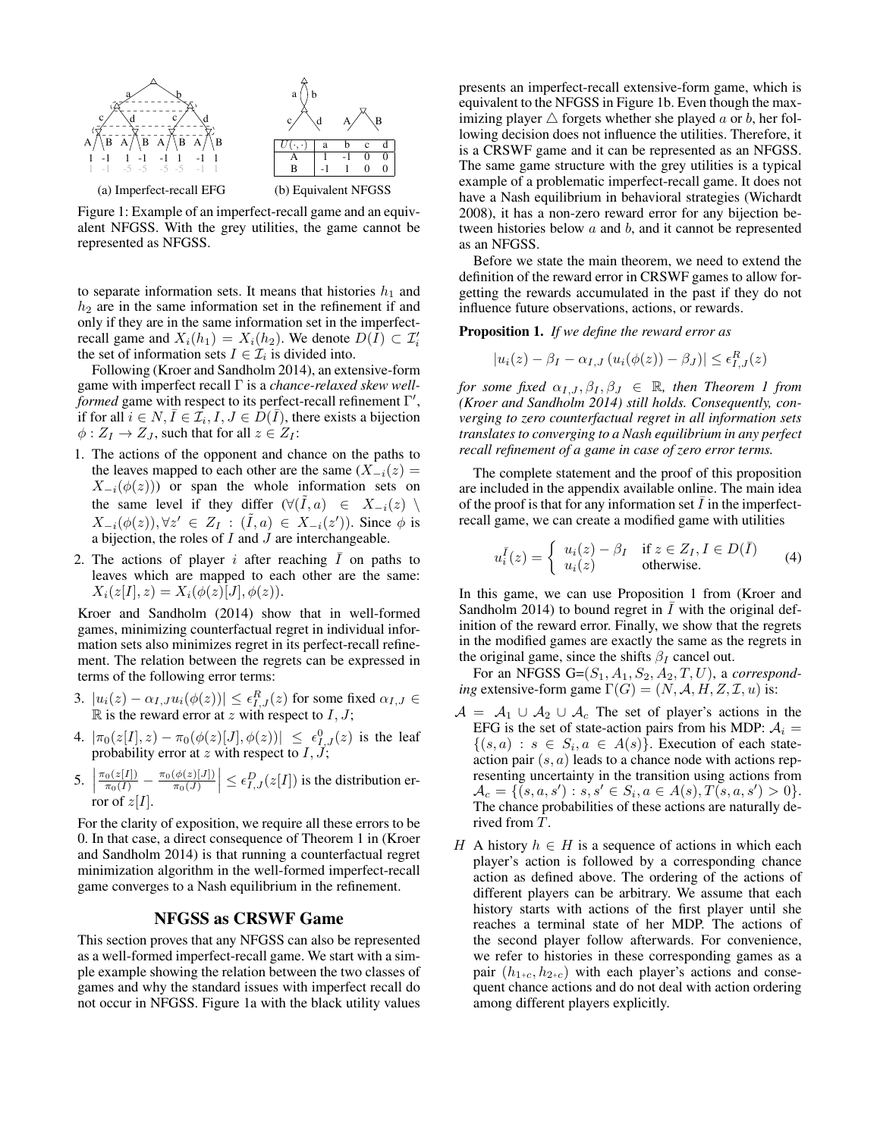

Figure 1: Example of an imperfect-recall game and an equivalent NFGSS. With the grey utilities, the game cannot be represented as NFGSS.

to separate information sets. It means that histories  $h_1$  and  $h_2$  are in the same information set in the refinement if and only if they are in the same information set in the imperfectrecall game and  $X_i(h_1) = X_i(h_2)$ . We denote  $D(\tilde{I}) \subset \mathcal{I}'_i$ the set of information sets  $I \in \mathcal{I}_i$  is divided into.

Following (Kroer and Sandholm 2014), an extensive-form game with imperfect recall Γ is a *chance-relaxed skew wellformed* game with respect to its perfect-recall refinement Γ', if for all  $i \in N$ ,  $\overline{I} \in \overline{I}_i$ ,  $I, J \in \overline{D}(\overline{I})$ , there exists a bijection  $\phi: Z_I \to Z_J$ , such that for all  $z \in Z_I$ :

- 1. The actions of the opponent and chance on the paths to the leaves mapped to each other are the same  $(X_{-i}(z) =$  $X_{-i}(\phi(z))$  or span the whole information sets on the same level if they differ  $(\forall (\tilde{I}, a) \in X_{-i}(z) \setminus \mathbb{R})$  $X_{-i}(\phi(z)), \forall z' \in Z_I : (\tilde{I}, a) \in X_{-i}(z')$ ). Since  $\phi$  is a bijection, the roles of  $I$  and  $J$  are interchangeable.
- 2. The actions of player i after reaching  $\overline{I}$  on paths to leaves which are mapped to each other are the same:  $X_i(z[I], z) = X_i(\phi(z)[J], \phi(z)).$

Kroer and Sandholm (2014) show that in well-formed games, minimizing counterfactual regret in individual information sets also minimizes regret in its perfect-recall refinement. The relation between the regrets can be expressed in terms of the following error terms:

- 3.  $|u_i(z) \alpha_{I,J} u_i(\phi(z))| \leq \epsilon_{I,J}^R(z)$  for some fixed  $\alpha_{I,J} \in$  $\mathbb R$  is the reward error at z with respect to  $I, J;$
- 4.  $|\pi_0(z[I], z) \pi_0(\phi(z)[J], \phi(z))| \leq \epsilon_{I, J}^0(z)$  is the leaf probability error at z with respect to  $I, J;$
- $5.$  $\frac{\pi_0(z[I])}{\pi_0(I)} - \frac{\pi_0(\phi(z)[J])}{\pi_0(J)}$  $\left|\frac{\phi(z)[J])}{\pi_0(J)}\right| \leq \epsilon_{I,J}^D(z[I])$  is the distribution error of  $z[I]$ .

For the clarity of exposition, we require all these errors to be 0. In that case, a direct consequence of Theorem 1 in (Kroer and Sandholm 2014) is that running a counterfactual regret minimization algorithm in the well-formed imperfect-recall game converges to a Nash equilibrium in the refinement.

### NFGSS as CRSWF Game

This section proves that any NFGSS can also be represented as a well-formed imperfect-recall game. We start with a simple example showing the relation between the two classes of games and why the standard issues with imperfect recall do not occur in NFGSS. Figure 1a with the black utility values

presents an imperfect-recall extensive-form game, which is equivalent to the NFGSS in Figure 1b. Even though the maximizing player  $\triangle$  forgets whether she played a or b, her following decision does not influence the utilities. Therefore, it is a CRSWF game and it can be represented as an NFGSS. The same game structure with the grey utilities is a typical example of a problematic imperfect-recall game. It does not have a Nash equilibrium in behavioral strategies (Wichardt 2008), it has a non-zero reward error for any bijection between histories below  $a$  and  $b$ , and it cannot be represented as an NFGSS.

Before we state the main theorem, we need to extend the definition of the reward error in CRSWF games to allow forgetting the rewards accumulated in the past if they do not influence future observations, actions, or rewards.

Proposition 1. *If we define the reward error as*

$$
|u_i(z) - \beta_I - \alpha_{I,J}(u_i(\phi(z)) - \beta_J)| \le \epsilon_{I,J}^R(z)
$$

*for some fixed*  $\alpha_{I,J}, \beta_I, \beta_J \in \mathbb{R}$ *, then Theorem 1 from (Kroer and Sandholm 2014) still holds. Consequently, converging to zero counterfactual regret in all information sets translates to converging to a Nash equilibrium in any perfect recall refinement of a game in case of zero error terms.*

The complete statement and the proof of this proposition are included in the appendix available online. The main idea of the proof is that for any information set  $\overline{I}$  in the imperfectrecall game, we can create a modified game with utilities

$$
u_i^{\bar{I}}(z) = \begin{cases} u_i(z) - \beta_I & \text{if } z \in Z_I, I \in D(\bar{I}) \\ u_i(z) & \text{otherwise.} \end{cases}
$$
(4)

In this game, we can use Proposition 1 from (Kroer and Sandholm 2014) to bound regret in  $I$  with the original definition of the reward error. Finally, we show that the regrets in the modified games are exactly the same as the regrets in the original game, since the shifts  $\beta_I$  cancel out.

For an NFGSS G=(S1, A1, S2, A2, T, U), a *corresponding* extensive-form game  $\Gamma(G) = (N, \mathcal{A}, H, Z, \mathcal{I}, u)$  is:

- $A = A_1 \cup A_2 \cup A_c$  The set of player's actions in the EFG is the set of state-action pairs from his MDP:  $A_i =$  $\{(s,a) : s \in S_i, a \in A(s)\}.$  Execution of each stateaction pair  $(s, a)$  leads to a chance node with actions representing uncertainty in the transition using actions from  $\mathcal{A}_c = \{ (s, a, s') : s, s' \in S_i, a \in A(s), T(s, a, s') > 0 \}.$ The chance probabilities of these actions are naturally derived from T.
- H A history  $h \in H$  is a sequence of actions in which each player's action is followed by a corresponding chance action as defined above. The ordering of the actions of different players can be arbitrary. We assume that each history starts with actions of the first player until she reaches a terminal state of her MDP. The actions of the second player follow afterwards. For convenience, we refer to histories in these corresponding games as a pair  $(h_{1+c}, h_{2+c})$  with each player's actions and consequent chance actions and do not deal with action ordering among different players explicitly.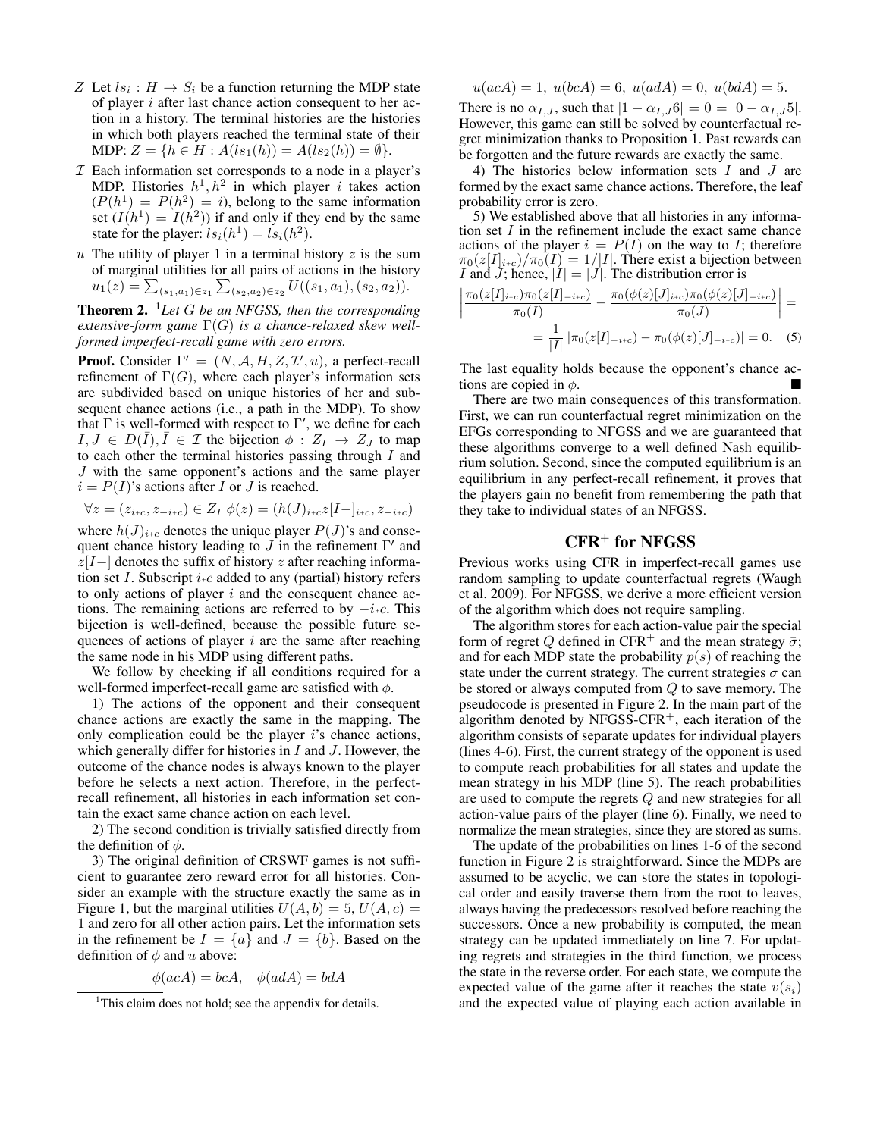- Z Let  $ls_i : H \to S_i$  be a function returning the MDP state of player  $i$  after last chance action consequent to her action in a history. The terminal histories are the histories in which both players reached the terminal state of their MDP:  $Z = \{h \in H : A(ls_1(h)) = A(ls_2(h)) = \emptyset\}.$
- $I$  Each information set corresponds to a node in a player's MDP. Histories  $h^1, h^2$  in which player i takes action  $(P(h^1) = P(h^2) = i)$ , belong to the same information set  $(I(h^1) = I(h^2))$  if and only if they end by the same state for the player:  $ls_i(h^1) = ls_i(h^2)$ .
- $u$  The utility of player 1 in a terminal history  $z$  is the sum of marginal utilities for all pairs of actions in the history  $u_1(z) = \sum_{(s_1, a_1) \in z_1} \sum_{(s_2, a_2) \in z_2} U((s_1, a_1), (s_2, a_2)).$

Theorem 2. <sup>1</sup>*Let* G *be an NFGSS, then the corresponding extensive-form game* Γ(G) *is a chance-relaxed skew wellformed imperfect-recall game with zero errors.*

**Proof.** Consider  $\Gamma' = (N, \mathcal{A}, H, Z, \mathcal{I}', u)$ , a perfect-recall refinement of  $\Gamma(G)$ , where each player's information sets are subdivided based on unique histories of her and subsequent chance actions (i.e., a path in the MDP). To show that  $\Gamma$  is well-formed with respect to  $\Gamma'$ , we define for each  $I, J \in D(\overline{I}), \overline{I} \in \mathcal{I}$  the bijection  $\phi : Z_I \to Z_J$  to map to each other the terminal histories passing through  $I$  and J with the same opponent's actions and the same player  $i = P(I)$ 's actions after I or J is reached.

$$
\forall z = (z_{i+c}, z_{-i+c}) \in Z_I \ \phi(z) = (h(J)_{i+c} z[I-]_{i+c}, z_{-i+c})
$$

where  $h(J)_{i+c}$  denotes the unique player  $P(J)$ 's and consequent chance history leading to  $\overline{J}$  in the refinement  $\Gamma'$  and  $z[I-]$  denotes the suffix of history z after reaching information set I. Subscript  $i_{+c}$  added to any (partial) history refers to only actions of player  $i$  and the consequent chance actions. The remaining actions are referred to by  $-i+c$ . This bijection is well-defined, because the possible future sequences of actions of player  $i$  are the same after reaching the same node in his MDP using different paths.

We follow by checking if all conditions required for a well-formed imperfect-recall game are satisfied with  $\phi$ .

1) The actions of the opponent and their consequent chance actions are exactly the same in the mapping. The only complication could be the player  $i$ 's chance actions, which generally differ for histories in  $I$  and  $J$ . However, the outcome of the chance nodes is always known to the player before he selects a next action. Therefore, in the perfectrecall refinement, all histories in each information set contain the exact same chance action on each level.

2) The second condition is trivially satisfied directly from the definition of  $\phi$ .

3) The original definition of CRSWF games is not sufficient to guarantee zero reward error for all histories. Consider an example with the structure exactly the same as in Figure 1, but the marginal utilities  $U(A, b) = 5, U(A, c) =$ 1 and zero for all other action pairs. Let the information sets in the refinement be  $I = \{a\}$  and  $J = \{b\}$ . Based on the definition of  $\phi$  and u above:

$$
\phi(acA) = bcA, \quad \phi(adA) = bdA
$$

$$
u(acA) = 1, u(bcA) = 6, u(adA) = 0, u(bdA) = 5.
$$

There is no  $\alpha_{I,J}$ , such that  $|1 - \alpha_{I,J} 6| = 0 = |0 - \alpha_{I,J} 5|$ . However, this game can still be solved by counterfactual regret minimization thanks to Proposition 1. Past rewards can be forgotten and the future rewards are exactly the same.

4) The histories below information sets I and J are formed by the exact same chance actions. Therefore, the leaf probability error is zero.

5) We established above that all histories in any information set  $I$  in the refinement include the exact same chance actions of the player  $i = P(I)$  on the way to I; therefore  $\pi_0(z[I]_{i+c})/\pi_0(I) = 1/|I|$ . There exist a bijection between I and J; hence,  $|I| = |J|$ . The distribution error is

 $\overline{\phantom{a}}$  $\overline{\phantom{a}}$ I  $\overline{\phantom{a}}$ 

$$
\frac{\pi_0(z[I]_{i+c})\pi_0(z[I]_{-i+c})}{\pi_0(I)} - \frac{\pi_0(\phi(z)[J]_{i+c})\pi_0(\phi(z)[J]_{-i+c})}{\pi_0(J)}\Big| =
$$
  
= 
$$
\frac{1}{|I|} |\pi_0(z[I]_{-i+c}) - \pi_0(\phi(z)[J]_{-i+c})| = 0.
$$
 (5)

The last equality holds because the opponent's chance actions are copied in  $\phi$ .

There are two main consequences of this transformation. First, we can run counterfactual regret minimization on the EFGs corresponding to NFGSS and we are guaranteed that these algorithms converge to a well defined Nash equilibrium solution. Second, since the computed equilibrium is an equilibrium in any perfect-recall refinement, it proves that the players gain no benefit from remembering the path that they take to individual states of an NFGSS.

## $CFR<sup>+</sup>$  for NFGSS

Previous works using CFR in imperfect-recall games use random sampling to update counterfactual regrets (Waugh et al. 2009). For NFGSS, we derive a more efficient version of the algorithm which does not require sampling.

The algorithm stores for each action-value pair the special form of regret Q defined in CFR<sup>+</sup> and the mean strategy  $\bar{\sigma}$ ; and for each MDP state the probability  $p(s)$  of reaching the state under the current strategy. The current strategies  $\sigma$  can be stored or always computed from Q to save memory. The pseudocode is presented in Figure 2. In the main part of the algorithm denoted by NFGSS-CFR $^+$ , each iteration of the algorithm consists of separate updates for individual players (lines 4-6). First, the current strategy of the opponent is used to compute reach probabilities for all states and update the mean strategy in his MDP (line 5). The reach probabilities are used to compute the regrets Q and new strategies for all action-value pairs of the player (line 6). Finally, we need to normalize the mean strategies, since they are stored as sums.

The update of the probabilities on lines 1-6 of the second function in Figure 2 is straightforward. Since the MDPs are assumed to be acyclic, we can store the states in topological order and easily traverse them from the root to leaves, always having the predecessors resolved before reaching the successors. Once a new probability is computed, the mean strategy can be updated immediately on line 7. For updating regrets and strategies in the third function, we process the state in the reverse order. For each state, we compute the expected value of the game after it reaches the state  $v(s_i)$ and the expected value of playing each action available in

<sup>&</sup>lt;sup>1</sup>This claim does not hold; see the appendix for details.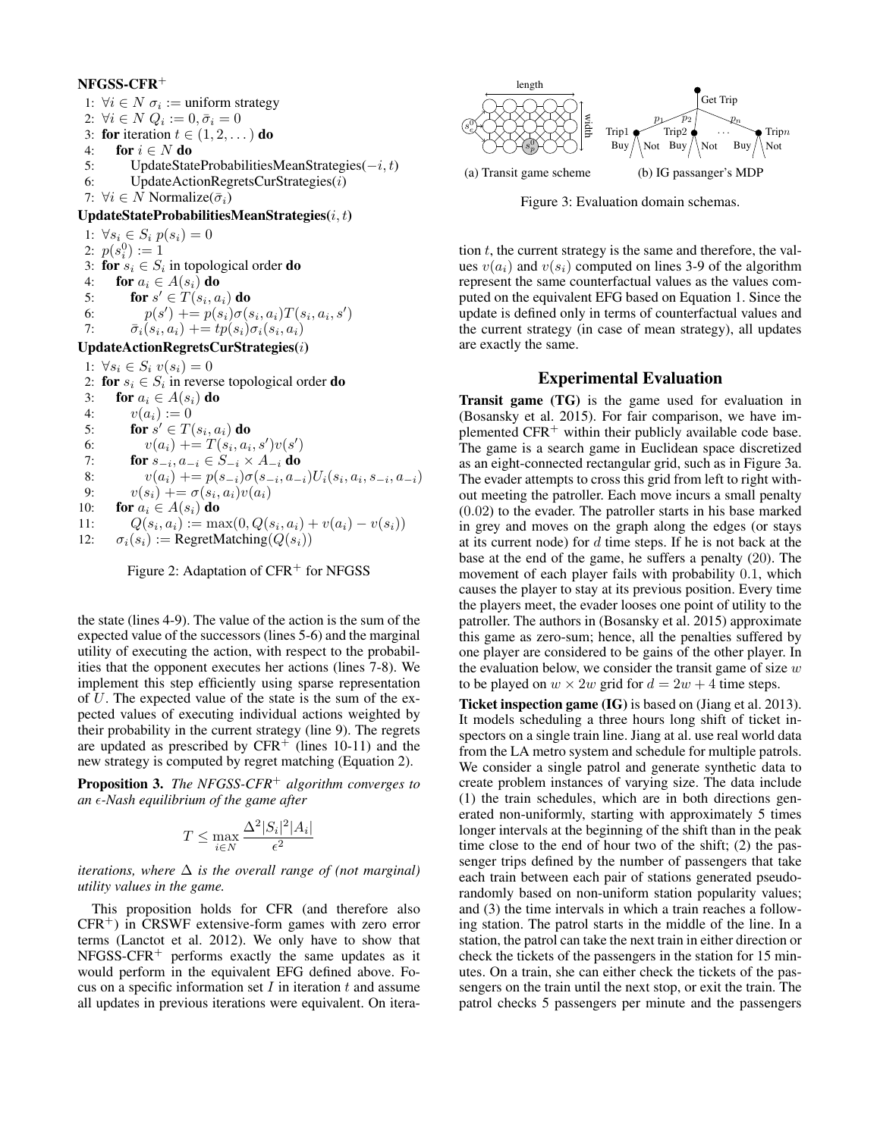#### NFGSS-CFR<sup>+</sup>

1: ∀ $i \in N$   $\sigma_i$  := uniform strategy 2:  $\forall i \in N \ Q_i := 0, \bar{\sigma}_i = 0$ 3: for iteration  $t \in (1, 2, ...)$  do 4: for  $i \in N$  do 5: UpdateStateProbabilitiesMeanStrategies(−i, t) 6: UpdateActionRegretsCurStrategies(i) 7:  $\forall i \in N$  Normalize $(\bar{\sigma}_i)$ UpdateStateProbabilitiesMeanStrategies $(i, t)$ 1:  $\forall s_i \in S_i \ p(s_i) = 0$ 2:  $p(s_i^0) := 1$ 3: for  $s_i \in S_i$  in topological order do 4: for  $a_i \in A(s_i)$  do 5: for  $s' \in T(s_i, a_i)$  do 6:  $p(s') = p(s_i)\sigma(s_i, a_i)T(s_i, a_i, s')$ 7:  $\overline{\sigma}_i(s_i, a_i) \rightarrow = tp(s_i)\sigma_i(s_i, a_i)$ UpdateActionRegretsCurStrategies(i) 1:  $\forall s_i \in S_i \ v(s_i) = 0$ 2: for  $s_i \in S_i$  in reverse topological order do 3: for  $a_i \in A(s_i)$  do 4:  $v(a_i) := 0$ 5: for  $s' \in T(s_i, a_i)$  do 6:  $v(a_i) = T(s_i, a_i, s')v(s')$ 7: for  $s_{-i}, a_{-i} \in S_{-i} \times A_{-i}$  do 8:  $v(a_i)$  + =  $p(s_{-i})\sigma(s_{-i}, a_{-i})U_i(s_i, a_i, s_{-i}, a_{-i})$ 9:  $v(s_i)$  +=  $\sigma(s_i, a_i)v(a_i)$ 10: for  $a_i \in A(s_i)$  do 11:  $Q(s_i, a_i) := \max(0, Q(s_i, a_i) + v(a_i) - v(s_i))$ 

12:  $\sigma_i(s_i) := \text{RegretMatching}(Q(s_i))$ 

Figure 2: Adaptation of  $CFR<sup>+</sup>$  for NFGSS

the state (lines 4-9). The value of the action is the sum of the expected value of the successors (lines 5-6) and the marginal utility of executing the action, with respect to the probabilities that the opponent executes her actions (lines 7-8). We implement this step efficiently using sparse representation of U. The expected value of the state is the sum of the expected values of executing individual actions weighted by their probability in the current strategy (line 9). The regrets are updated as prescribed by  $CFR<sup>+</sup>$  (lines 10-11) and the new strategy is computed by regret matching (Equation 2).

Proposition 3. *The NFGSS-CFR*<sup>+</sup> *algorithm converges to an -Nash equilibrium of the game after*

$$
T \le \max_{i \in N} \frac{\Delta^2 |S_i|^2 |A_i|}{\epsilon^2}
$$

*iterations, where*  $\Delta$  *is the overall range of (not marginal) utility values in the game.*

This proposition holds for CFR (and therefore also  $CFR<sup>+</sup>$ ) in CRSWF extensive-form games with zero error terms (Lanctot et al. 2012). We only have to show that  $NFGSS-CFR<sup>+</sup>$  performs exactly the same updates as it would perform in the equivalent EFG defined above. Focus on a specific information set  $I$  in iteration  $t$  and assume all updates in previous iterations were equivalent. On itera-



Figure 3: Evaluation domain schemas.

tion  $t$ , the current strategy is the same and therefore, the values  $v(a_i)$  and  $v(s_i)$  computed on lines 3-9 of the algorithm represent the same counterfactual values as the values computed on the equivalent EFG based on Equation 1. Since the update is defined only in terms of counterfactual values and the current strategy (in case of mean strategy), all updates are exactly the same.

### Experimental Evaluation

Transit game (TG) is the game used for evaluation in (Bosansky et al. 2015). For fair comparison, we have implemented  $CFR<sup>+</sup>$  within their publicly available code base. The game is a search game in Euclidean space discretized as an eight-connected rectangular grid, such as in Figure 3a. The evader attempts to cross this grid from left to right without meeting the patroller. Each move incurs a small penalty (0.02) to the evader. The patroller starts in his base marked in grey and moves on the graph along the edges (or stays at its current node) for  $d$  time steps. If he is not back at the base at the end of the game, he suffers a penalty (20). The movement of each player fails with probability 0.1, which causes the player to stay at its previous position. Every time the players meet, the evader looses one point of utility to the patroller. The authors in (Bosansky et al. 2015) approximate this game as zero-sum; hence, all the penalties suffered by one player are considered to be gains of the other player. In the evaluation below, we consider the transit game of size  $w$ to be played on  $w \times 2w$  grid for  $d = 2w + 4$  time steps.

Ticket inspection game (IG) is based on (Jiang et al. 2013). It models scheduling a three hours long shift of ticket inspectors on a single train line. Jiang at al. use real world data from the LA metro system and schedule for multiple patrols. We consider a single patrol and generate synthetic data to create problem instances of varying size. The data include (1) the train schedules, which are in both directions generated non-uniformly, starting with approximately 5 times longer intervals at the beginning of the shift than in the peak time close to the end of hour two of the shift; (2) the passenger trips defined by the number of passengers that take each train between each pair of stations generated pseudorandomly based on non-uniform station popularity values; and (3) the time intervals in which a train reaches a following station. The patrol starts in the middle of the line. In a station, the patrol can take the next train in either direction or check the tickets of the passengers in the station for 15 minutes. On a train, she can either check the tickets of the passengers on the train until the next stop, or exit the train. The patrol checks 5 passengers per minute and the passengers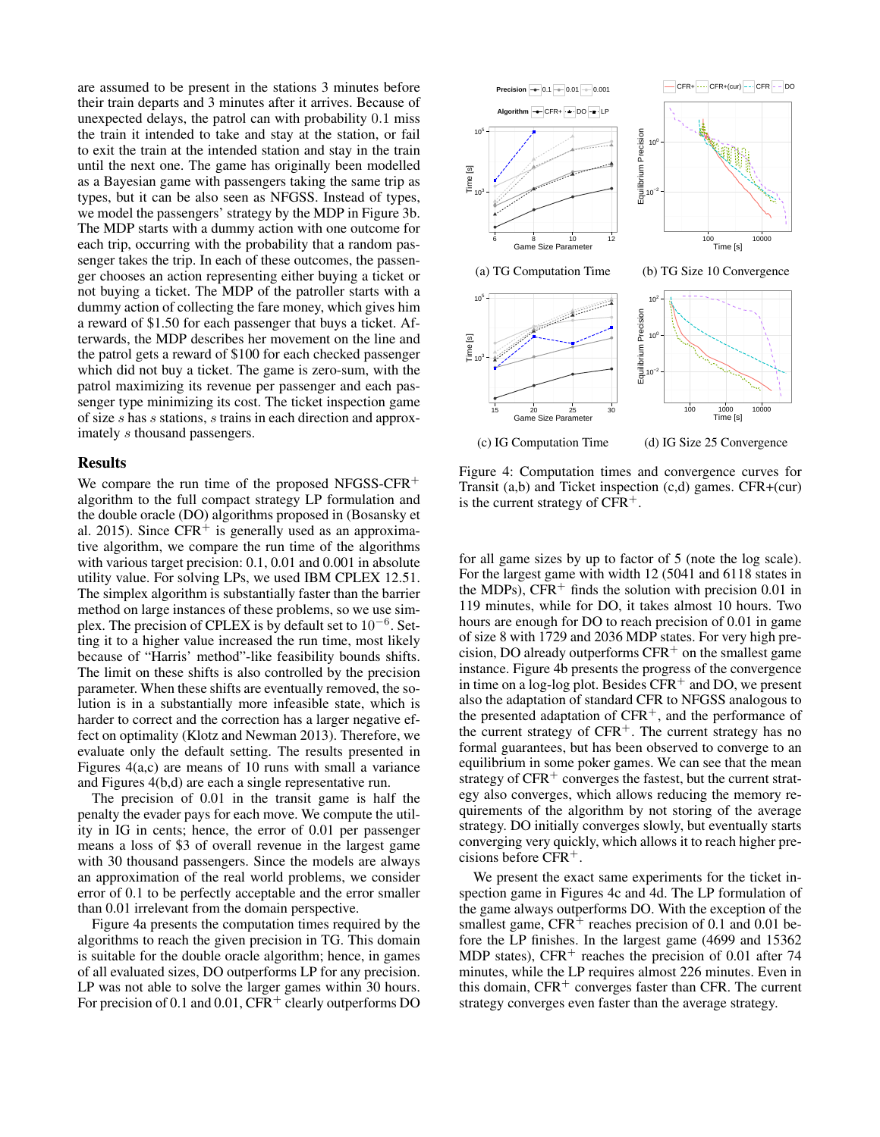are assumed to be present in the stations 3 minutes before their train departs and 3 minutes after it arrives. Because of unexpected delays, the patrol can with probability 0.1 miss the train it intended to take and stay at the station, or fail to exit the train at the intended station and stay in the train until the next one. The game has originally been modelled as a Bayesian game with passengers taking the same trip as types, but it can be also seen as NFGSS. Instead of types, we model the passengers' strategy by the MDP in Figure 3b. The MDP starts with a dummy action with one outcome for each trip, occurring with the probability that a random passenger takes the trip. In each of these outcomes, the passenger chooses an action representing either buying a ticket or not buying a ticket. The MDP of the patroller starts with a dummy action of collecting the fare money, which gives him a reward of \$1.50 for each passenger that buys a ticket. Afterwards, the MDP describes her movement on the line and the patrol gets a reward of \$100 for each checked passenger which did not buy a ticket. The game is zero-sum, with the patrol maximizing its revenue per passenger and each passenger type minimizing its cost. The ticket inspection game of size s has s stations, s trains in each direction and approximately s thousand passengers.

#### Results

We compare the run time of the proposed NFGSS-CFR<sup>+</sup> algorithm to the full compact strategy LP formulation and the double oracle (DO) algorithms proposed in (Bosansky et al. 2015). Since  $CFR<sup>+</sup>$  is generally used as an approximative algorithm, we compare the run time of the algorithms with various target precision: 0.1, 0.01 and 0.001 in absolute utility value. For solving LPs, we used IBM CPLEX 12.51. The simplex algorithm is substantially faster than the barrier method on large instances of these problems, so we use simplex. The precision of CPLEX is by default set to  $10^{-6}$ . Setting it to a higher value increased the run time, most likely because of "Harris' method"-like feasibility bounds shifts. The limit on these shifts is also controlled by the precision parameter. When these shifts are eventually removed, the solution is in a substantially more infeasible state, which is harder to correct and the correction has a larger negative effect on optimality (Klotz and Newman 2013). Therefore, we evaluate only the default setting. The results presented in Figures 4(a,c) are means of 10 runs with small a variance and Figures 4(b,d) are each a single representative run.

The precision of 0.01 in the transit game is half the penalty the evader pays for each move. We compute the utility in IG in cents; hence, the error of 0.01 per passenger means a loss of \$3 of overall revenue in the largest game with 30 thousand passengers. Since the models are always an approximation of the real world problems, we consider error of 0.1 to be perfectly acceptable and the error smaller than 0.01 irrelevant from the domain perspective.

Figure 4a presents the computation times required by the algorithms to reach the given precision in TG. This domain is suitable for the double oracle algorithm; hence, in games of all evaluated sizes, DO outperforms LP for any precision. LP was not able to solve the larger games within 30 hours. For precision of 0.1 and 0.01,  $CFR<sup>+</sup>$  clearly outperforms DO



Figure 4: Computation times and convergence curves for Transit (a,b) and Ticket inspection (c,d) games. CFR+(cur) is the current strategy of  $CFR<sup>+</sup>$ .

for all game sizes by up to factor of 5 (note the log scale). For the largest game with width 12 (5041 and 6118 states in the MDPs),  $CFR<sup>+</sup>$  finds the solution with precision 0.01 in 119 minutes, while for DO, it takes almost 10 hours. Two hours are enough for DO to reach precision of 0.01 in game of size 8 with 1729 and 2036 MDP states. For very high precision, DO already outperforms  $CFR<sup>+</sup>$  on the smallest game instance. Figure 4b presents the progress of the convergence in time on a log-log plot. Besides  $CFR<sup>+</sup>$  and DO, we present also the adaptation of standard CFR to NFGSS analogous to the presented adaptation of  $CFR<sup>+</sup>$ , and the performance of the current strategy of  $CFR<sup>+</sup>$ . The current strategy has no formal guarantees, but has been observed to converge to an equilibrium in some poker games. We can see that the mean strategy of  $CFR$ <sup>+</sup> converges the fastest, but the current strategy also converges, which allows reducing the memory requirements of the algorithm by not storing of the average strategy. DO initially converges slowly, but eventually starts converging very quickly, which allows it to reach higher precisions before CFR<sup>+</sup>.

We present the exact same experiments for the ticket inspection game in Figures 4c and 4d. The LP formulation of the game always outperforms DO. With the exception of the smallest game,  $CFR<sup>+</sup>$  reaches precision of 0.1 and 0.01 before the LP finishes. In the largest game (4699 and 15362 MDP states),  $CFR<sup>+</sup>$  reaches the precision of 0.01 after 74 minutes, while the LP requires almost 226 minutes. Even in this domain,  $CFR<sup>+</sup>$  converges faster than CFR. The current strategy converges even faster than the average strategy.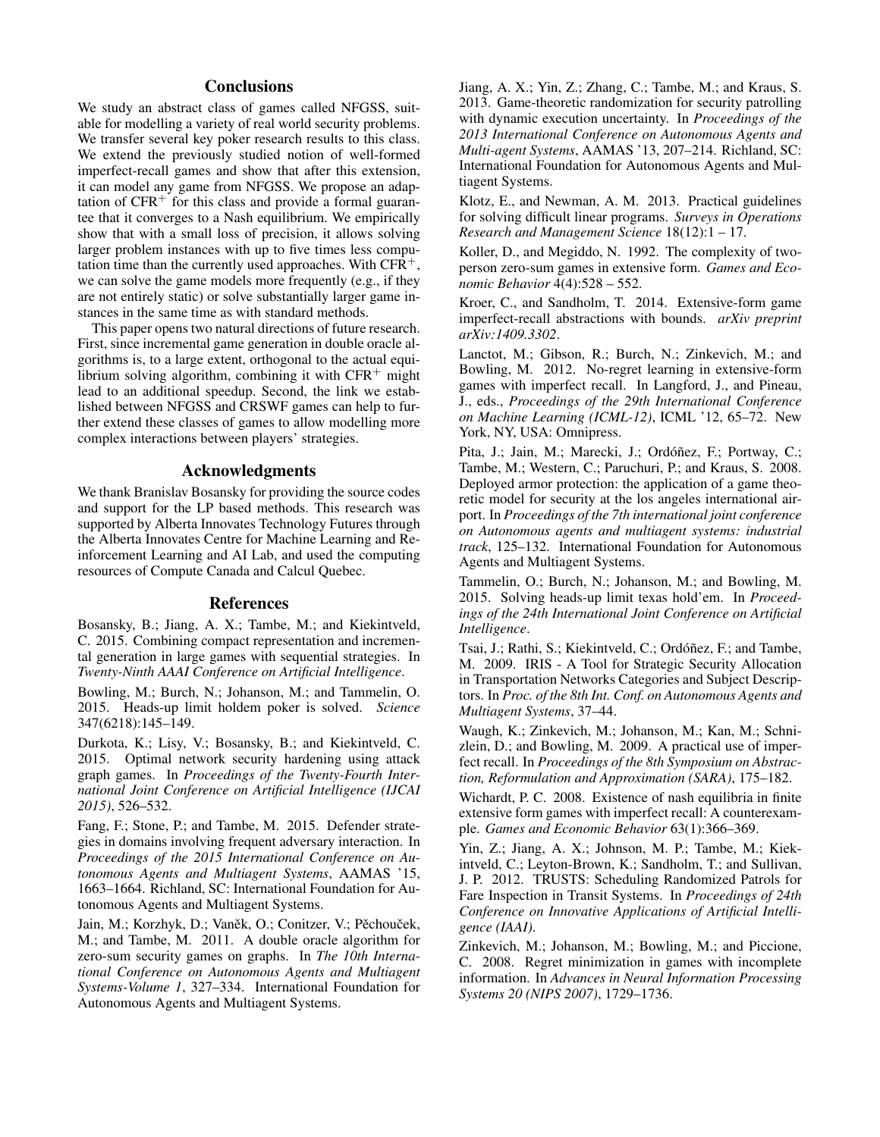## **Conclusions**

We study an abstract class of games called NFGSS, suitable for modelling a variety of real world security problems. We transfer several key poker research results to this class. We extend the previously studied notion of well-formed imperfect-recall games and show that after this extension, it can model any game from NFGSS. We propose an adaptation of  $CFR<sup>+</sup>$  for this class and provide a formal guarantee that it converges to a Nash equilibrium. We empirically show that with a small loss of precision, it allows solving larger problem instances with up to five times less computation time than the currently used approaches. With  $CFR^+$ , we can solve the game models more frequently (e.g., if they are not entirely static) or solve substantially larger game instances in the same time as with standard methods.

This paper opens two natural directions of future research. First, since incremental game generation in double oracle algorithms is, to a large extent, orthogonal to the actual equilibrium solving algorithm, combining it with  $CFR<sup>+</sup>$  might lead to an additional speedup. Second, the link we established between NFGSS and CRSWF games can help to further extend these classes of games to allow modelling more complex interactions between players' strategies.

#### Acknowledgments

We thank Branislav Bosansky for providing the source codes and support for the LP based methods. This research was supported by Alberta Innovates Technology Futures through the Alberta Innovates Centre for Machine Learning and Reinforcement Learning and AI Lab, and used the computing resources of Compute Canada and Calcul Quebec.

#### References

Bosansky, B.; Jiang, A. X.; Tambe, M.; and Kiekintveld, C. 2015. Combining compact representation and incremental generation in large games with sequential strategies. In *Twenty-Ninth AAAI Conference on Artificial Intelligence*.

Bowling, M.; Burch, N.; Johanson, M.; and Tammelin, O. 2015. Heads-up limit holdem poker is solved. *Science* 347(6218):145–149.

Durkota, K.; Lisy, V.; Bosansky, B.; and Kiekintveld, C. 2015. Optimal network security hardening using attack graph games. In *Proceedings of the Twenty-Fourth International Joint Conference on Artificial Intelligence (IJCAI 2015)*, 526–532.

Fang, F.; Stone, P.; and Tambe, M. 2015. Defender strategies in domains involving frequent adversary interaction. In *Proceedings of the 2015 International Conference on Autonomous Agents and Multiagent Systems*, AAMAS '15, 1663–1664. Richland, SC: International Foundation for Autonomous Agents and Multiagent Systems.

Jain, M.; Korzhyk, D.; Vaněk, O.; Conitzer, V.; Pěchouček, M.; and Tambe, M. 2011. A double oracle algorithm for zero-sum security games on graphs. In *The 10th International Conference on Autonomous Agents and Multiagent Systems-Volume 1*, 327–334. International Foundation for Autonomous Agents and Multiagent Systems.

Jiang, A. X.; Yin, Z.; Zhang, C.; Tambe, M.; and Kraus, S. 2013. Game-theoretic randomization for security patrolling with dynamic execution uncertainty. In *Proceedings of the 2013 International Conference on Autonomous Agents and Multi-agent Systems*, AAMAS '13, 207–214. Richland, SC: International Foundation for Autonomous Agents and Multiagent Systems.

Klotz, E., and Newman, A. M. 2013. Practical guidelines for solving difficult linear programs. *Surveys in Operations Research and Management Science* 18(12):1 – 17.

Koller, D., and Megiddo, N. 1992. The complexity of twoperson zero-sum games in extensive form. *Games and Economic Behavior* 4(4):528 – 552.

Kroer, C., and Sandholm, T. 2014. Extensive-form game imperfect-recall abstractions with bounds. *arXiv preprint arXiv:1409.3302*.

Lanctot, M.; Gibson, R.; Burch, N.; Zinkevich, M.; and Bowling, M. 2012. No-regret learning in extensive-form games with imperfect recall. In Langford, J., and Pineau, J., eds., *Proceedings of the 29th International Conference on Machine Learning (ICML-12)*, ICML '12, 65–72. New York, NY, USA: Omnipress.

Pita, J.; Jain, M.; Marecki, J.; Ordóñez, F.; Portway, C.; Tambe, M.; Western, C.; Paruchuri, P.; and Kraus, S. 2008. Deployed armor protection: the application of a game theoretic model for security at the los angeles international airport. In *Proceedings of the 7th international joint conference on Autonomous agents and multiagent systems: industrial track*, 125–132. International Foundation for Autonomous Agents and Multiagent Systems.

Tammelin, O.; Burch, N.; Johanson, M.; and Bowling, M. 2015. Solving heads-up limit texas hold'em. In *Proceedings of the 24th International Joint Conference on Artificial Intelligence*.

Tsai, J.; Rathi, S.; Kiekintveld, C.; Ordóñez, F.; and Tambe, M. 2009. IRIS - A Tool for Strategic Security Allocation in Transportation Networks Categories and Subject Descriptors. In *Proc. of the 8th Int. Conf. on Autonomous Agents and Multiagent Systems*, 37–44.

Waugh, K.; Zinkevich, M.; Johanson, M.; Kan, M.; Schnizlein, D.; and Bowling, M. 2009. A practical use of imperfect recall. In *Proceedings of the 8th Symposium on Abstraction, Reformulation and Approximation (SARA)*, 175–182.

Wichardt, P. C. 2008. Existence of nash equilibria in finite extensive form games with imperfect recall: A counterexample. *Games and Economic Behavior* 63(1):366–369.

Yin, Z.; Jiang, A. X.; Johnson, M. P.; Tambe, M.; Kiekintveld, C.; Leyton-Brown, K.; Sandholm, T.; and Sullivan, J. P. 2012. TRUSTS: Scheduling Randomized Patrols for Fare Inspection in Transit Systems. In *Proceedings of 24th Conference on Innovative Applications of Artificial Intelligence (IAAI)*.

Zinkevich, M.; Johanson, M.; Bowling, M.; and Piccione, C. 2008. Regret minimization in games with incomplete information. In *Advances in Neural Information Processing Systems 20 (NIPS 2007)*, 1729–1736.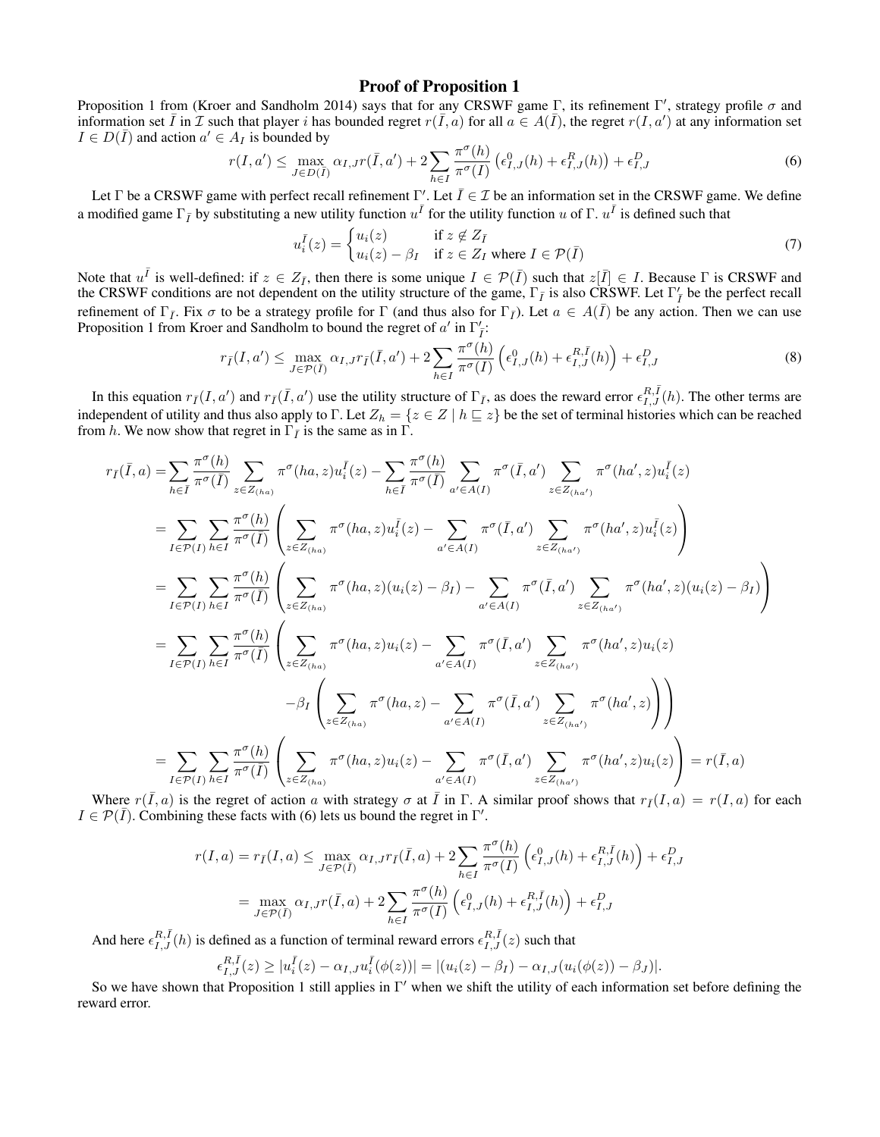### Proof of Proposition 1

Proposition 1 from (Kroer and Sandholm 2014) says that for any CRSWF game Γ, its refinement Γ', strategy profile  $\sigma$  and information set  $\bar{I}$  in  $\bar{I}$  such that player i has bounded regret  $r(\bar{I}, a)$  for all  $a \in A(\bar{I})$ , the regret  $r(I, a')$  at any information set  $I \in D(\overline{I})$  and action  $a' \in A_I$  is bounded by

$$
r(I, a') \leq \max_{J \in D(\overline{I})} \alpha_{I,J} r(\overline{I}, a') + 2 \sum_{h \in I} \frac{\pi^{\sigma}(h)}{\pi^{\sigma}(I)} \left(\epsilon_{I,J}^{0}(h) + \epsilon_{I,J}^{R}(h)\right) + \epsilon_{I,J}^{D}
$$
(6)

Let Γ be a CRSWF game with perfect recall refinement Γ'. Let  $\bar{I} \in \mathcal{I}$  be an information set in the CRSWF game. We define a modified game  $\Gamma_{\bar{I}}$  by substituting a new utility function  $u^{\bar{I}}$  for the utility function u of  $\Gamma$ .  $u^{\bar{I}}$  is defined such that

$$
u_i^{\bar{I}}(z) = \begin{cases} u_i(z) & \text{if } z \notin Z_{\bar{I}} \\ u_i(z) - \beta_I & \text{if } z \in Z_I \text{ where } I \in \mathcal{P}(\bar{I}) \end{cases}
$$
(7)

Note that  $u^{\bar{I}}$  is well-defined: if  $z \in Z_{\bar{I}}$ , then there is some unique  $I \in \mathcal{P}(\bar{I})$  such that  $z[\bar{I}] \in I$ . Because  $\Gamma$  is CRSWF and the CRSWF conditions are not dependent on the utility structure of the game,  $\Gamma_{\bar{I}}$  is also CRSWF. Let  $\Gamma'_{\bar{I}}$  be the perfect recall refinement of  $\Gamma_{\bar{I}}$ . Fix  $\sigma$  to be a strategy profile for  $\Gamma$  (and thus also for  $\Gamma_{\bar{I}}$ ). Let  $a \in A(\bar{I})$  be any action. Then we can use Proposition 1 from Kroer and Sandholm to bound the regret of  $a'$  in  $\Gamma'_{\bar{I}}$ :

$$
r_{\bar{I}}(I, a') \leq \max_{J \in \mathcal{P}(\bar{I})} \alpha_{I,J} r_{\bar{I}}(\bar{I}, a') + 2 \sum_{h \in I} \frac{\pi^{\sigma}(h)}{\pi^{\sigma}(I)} \left( \epsilon_{I,J}^{0}(h) + \epsilon_{I,J}^{R, \bar{I}}(h) \right) + \epsilon_{I,J}^{D}
$$
(8)

In this equation  $r_{\bar{I}}(I, a')$  and  $r_{\bar{I}}(\bar{I}, a')$  use the utility structure of  $\Gamma_{\bar{I}}$ , as does the reward error  $\epsilon_{I, J}^{R, \bar{I}}(h)$ . The other terms are independent of utility and thus also apply to  $\Gamma$ . Let  $Z_h = \{z \in Z \mid h \sqsubseteq z\}$  be the set of terminal histories which can be reached from h. We now show that regret in  $\Gamma_{\bar{I}}$  is the same as in  $\Gamma$ .

$$
r_{\overline{I}}(\overline{I},a) = \sum_{h\in\overline{I}} \frac{\pi^{\sigma}(h)}{\pi^{\sigma}(\overline{I})} \sum_{z\in Z_{(ha)}} \pi^{\sigma}(ha,z) u_{i}^{\overline{I}}(z) - \sum_{h\in\overline{I}} \frac{\pi^{\sigma}(h)}{\pi^{\sigma}(\overline{I})} \sum_{a'\in A(I)} \pi^{\sigma}(\overline{I},a') \sum_{z\in Z_{(ha')}} \pi^{\sigma}(ha',z) u_{i}^{\overline{I}}(z)
$$
  
\n
$$
= \sum_{I\in\mathcal{P}(I)} \sum_{h\in\overline{I}} \frac{\pi^{\sigma}(h)}{\pi^{\sigma}(\overline{I})} \left( \sum_{z\in Z_{(ha)}} \pi^{\sigma}(ha,z) u_{i}^{\overline{I}}(z) - \sum_{a'\in A(I)} \pi^{\sigma}(\overline{I},a') \sum_{z\in Z_{(ha')}} \pi^{\sigma}(ha',z) u_{i}^{\overline{I}}(z) \right)
$$
  
\n
$$
= \sum_{I\in\mathcal{P}(I)} \sum_{h\in\overline{I}} \frac{\pi^{\sigma}(h)}{\pi^{\sigma}(\overline{I})} \left( \sum_{z\in Z_{(ha)}} \pi^{\sigma}(ha,z) (u_{i}(z) - \beta_{I}) - \sum_{a'\in A(I)} \pi^{\sigma}(\overline{I},a') \sum_{z\in Z_{(ha')}} \pi^{\sigma}(ha',z) (u_{i}(z) - \beta_{I}) \right)
$$
  
\n
$$
= \sum_{I\in\mathcal{P}(I)} \sum_{h\in\overline{I}} \frac{\pi^{\sigma}(h)}{\pi^{\sigma}(\overline{I})} \left( \sum_{z\in Z_{(ha)}} \pi^{\sigma}(ha,z) u_{i}(z) - \sum_{a'\in A(I)} \pi^{\sigma}(\overline{I},a') \sum_{z\in Z_{(ha')}} \pi^{\sigma}(ha',z) u_{i}(z) - \beta_{I} \right)
$$
  
\n
$$
- \beta_{I} \left( \sum_{z\in Z_{(ha)}} \pi^{\sigma}(ha,z) u_{i}(z) - \sum_{a'\in A(I)} \pi^{\sigma}(\overline{I},a') \sum_{z\in Z_{(ha')}} \pi^{\sigma}(ha',z) u_{i}(z) \right) = r(\overline{I},a)
$$

Where  $r(\bar{I}, a)$  is the regret of action a with strategy  $\sigma$  at  $\bar{I}$  in  $\Gamma$ . A similar proof shows that  $r_{\bar{I}}(I, a) = r(I, a)$  for each  $I \in \mathcal{P}(\overline{I})$ . Combining these facts with (6) lets us bound the regret in  $\Gamma'$ .

$$
r(I, a) = r_{\bar{I}}(I, a) \le \max_{J \in \mathcal{P}(\bar{I})} \alpha_{I,J} r_{\bar{I}}(\bar{I}, a) + 2 \sum_{h \in I} \frac{\pi^{\sigma}(h)}{\pi^{\sigma}(I)} \left(\epsilon_{I,J}^{0}(h) + \epsilon_{I,J}^{R, \bar{I}}(h)\right) + \epsilon_{I,J}^{D}
$$

$$
= \max_{J \in \mathcal{P}(\bar{I})} \alpha_{I,J} r(\bar{I}, a) + 2 \sum_{h \in I} \frac{\pi^{\sigma}(h)}{\pi^{\sigma}(I)} \left(\epsilon_{I,J}^{0}(h) + \epsilon_{I,J}^{R, \bar{I}}(h)\right) + \epsilon_{I,J}^{D}
$$

And here  $\epsilon_{I,J}^{R,\bar{I}}(h)$  is defined as a function of terminal reward errors  $\epsilon_{I,J}^{R,\bar{I}}(z)$  such that

$$
\epsilon_{I,J}^{R,\bar{I}}(z) \geq |u_i^{\bar{I}}(z) - \alpha_{I,J} u_i^{\bar{I}}(\phi(z))| = |(u_i(z) - \beta_I) - \alpha_{I,J}(u_i(\phi(z)) - \beta_J)|.
$$

So we have shown that Proposition 1 still applies in  $\Gamma'$  when we shift the utility of each information set before defining the reward error.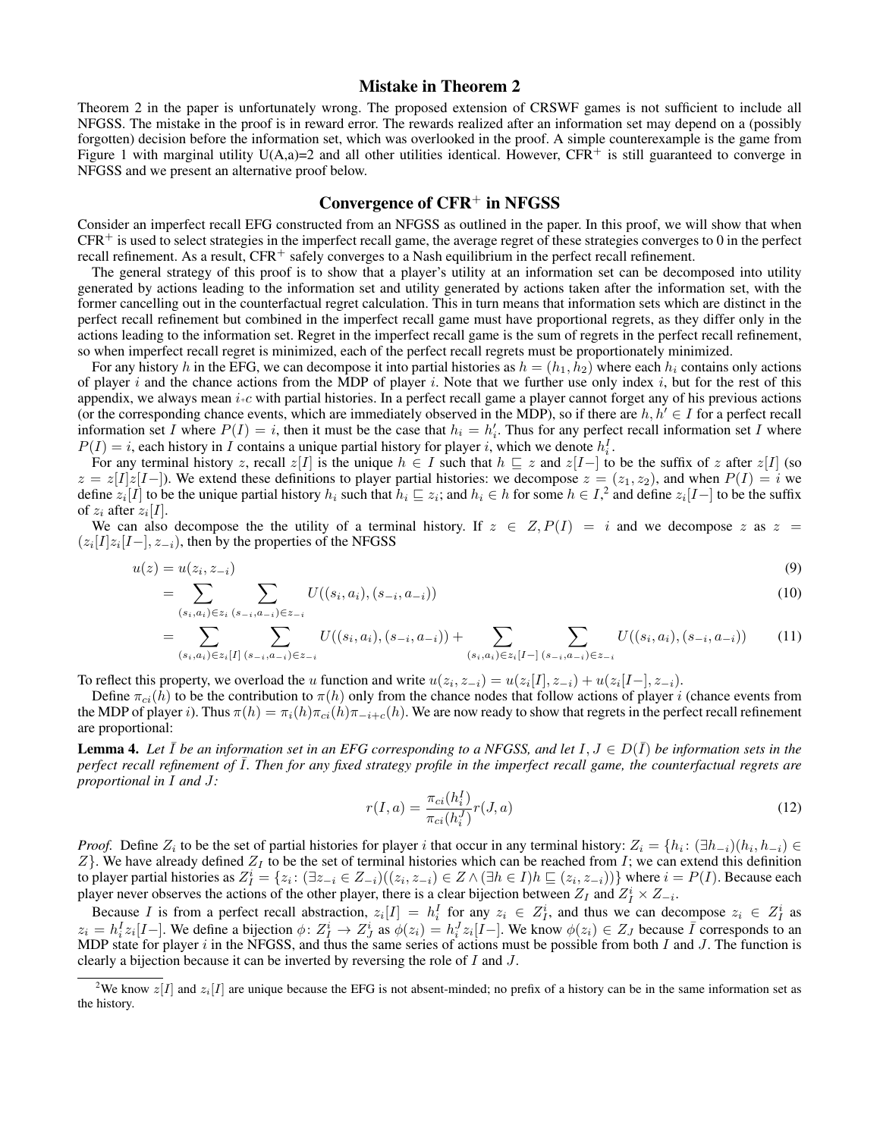# Mistake in Theorem 2

Theorem 2 in the paper is unfortunately wrong. The proposed extension of CRSWF games is not sufficient to include all NFGSS. The mistake in the proof is in reward error. The rewards realized after an information set may depend on a (possibly forgotten) decision before the information set, which was overlooked in the proof. A simple counterexample is the game from Figure 1 with marginal utility  $U(A,a)=2$  and all other utilities identical. However, CFR<sup>+</sup> is still guaranteed to converge in NFGSS and we present an alternative proof below.

## Convergence of CFR<sup>+</sup> in NFGSS

Consider an imperfect recall EFG constructed from an NFGSS as outlined in the paper. In this proof, we will show that when  $CFR<sup>+</sup>$  is used to select strategies in the imperfect recall game, the average regret of these strategies converges to 0 in the perfect recall refinement. As a result,  $CFR<sup>+</sup>$  safely converges to a Nash equilibrium in the perfect recall refinement.

The general strategy of this proof is to show that a player's utility at an information set can be decomposed into utility generated by actions leading to the information set and utility generated by actions taken after the information set, with the former cancelling out in the counterfactual regret calculation. This in turn means that information sets which are distinct in the perfect recall refinement but combined in the imperfect recall game must have proportional regrets, as they differ only in the actions leading to the information set. Regret in the imperfect recall game is the sum of regrets in the perfect recall refinement, so when imperfect recall regret is minimized, each of the perfect recall regrets must be proportionately minimized.

For any history h in the EFG, we can decompose it into partial histories as  $h = (h_1, h_2)$  where each  $h_i$  contains only actions of player i and the chance actions from the MDP of player i. Note that we further use only index i, but for the rest of this appendix, we always mean  $i<sub>+</sub>c$  with partial histories. In a perfect recall game a player cannot forget any of his previous actions (or the corresponding chance events, which are immediately observed in the MDP), so if there are  $h, h' \in I$  for a perfect recall information set I where  $P(I) = i$ , then it must be the case that  $h_i = h'_i$ . Thus for any perfect recall information set I where  $P(I) = i$ , each history in I contains a unique partial history for player i, which we denote  $h_i^I$ .

For any terminal history z, recall z[I] is the unique  $h \in I$  such that  $h \subseteq z$  and  $z[I]$  to be the suffix of z after  $z[I]$  (so  $z = z[I]z[I-]$ ). We extend these definitions to player partial histories: we decompose  $z = (z_1, z_2)$ , and when  $P(I) = i$  we define  $z_i[I]$  to be the unique partial history  $h_i$  such that  $h_i \sqsubseteq z_i$ ; and  $h_i \in h$  for some  $h \in I$ , and define  $z_i[I]$  to be the suffix of  $z_i$  after  $z_i[I]$ .

We can also decompose the the utility of a terminal history. If  $z \in Z$ ,  $P(I) = i$  and we decompose z as  $z =$  $(z_i[I]z_i[I-], z_{-i})$ , then by the properties of the NFGSS

$$
u(z) = u(z_i, z_{-i})
$$
\n<sup>(9)</sup>

$$
= \sum_{(s_i, a_i) \in z_i} \sum_{(s_{-i}, a_{-i}) \in z_{-i}} U((s_i, a_i), (s_{-i}, a_{-i})) \tag{10}
$$

$$
= \sum_{(s_i, a_i) \in z_i[I]} \sum_{(s_{-i}, a_{-i}) \in z_{-i}} U((s_i, a_i), (s_{-i}, a_{-i})) + \sum_{(s_i, a_i) \in z_i[I-]} \sum_{(s_{-i}, a_{-i}) \in z_{-i}} U((s_i, a_i), (s_{-i}, a_{-i})) \tag{11}
$$

To reflect this property, we overload the u function and write  $u(z_i, z_{-i}) = u(z_i[I], z_{-i}) + u(z_i[I-], z_{-i}).$ 

Define  $\pi_{ci}(h)$  to be the contribution to  $\pi(h)$  only from the chance nodes that follow actions of player i (chance events from the MDP of player i). Thus  $\pi(h) = \pi_i(h)\pi_{ci}(h)\pi_{-i+c}(h)$ . We are now ready to show that regrets in the perfect recall refinement are proportional:

**Lemma 4.** Let  $\bar{I}$  be an information set in an EFG corresponding to a NFGSS, and let  $I, J \in D(\bar{I})$  be information sets in the *perfect recall refinement of I. Then for any fixed strategy profile in the imperfect recall game, the counterfactual regrets are proportional in* I *and* J*:*

$$
r(I,a) = \frac{\pi_{ci}(h_i^I)}{\pi_{ci}(h_i^J)} r(J,a)
$$
\n
$$
(12)
$$

*Proof.* Define  $Z_i$  to be the set of partial histories for player i that occur in any terminal history:  $Z_i = \{h_i : (\exists h_{-i})(h_i, h_{-i}) \in$  $Z$ . We have already defined  $Z_I$  to be the set of terminal histories which can be reached from I; we can extend this definition to player partial histories as  $Z_I^i = \{z_i: (\exists z_{-i} \in Z_{-i}) ((z_i, z_{-i}) \in Z \land (\exists h \in I) h \sqsubseteq (z_i, z_{-i}))\}$  where  $i = P(I)$ . Because each player never observes the actions of the other player, there is a clear bijection between  $Z_I$  and  $Z_I^i \times Z_{-i}$ .

Because I is from a perfect recall abstraction,  $z_i[I] = h_i^I$  for any  $z_i \in Z_I^i$ , and thus we can decompose  $z_i \in Z_I^i$  as  $z_i = h_i^I z_i[I-]$ . We define a bijection  $\phi: Z_I^i \to Z_J^i$  as  $\phi(z_i) = h_i^J z_i[I-]$ . We know  $\phi(z_i) \in Z_J$  because  $\overline{I}$  corresponds to an MDP state for player  $i$  in the NFGSS, and thus the same series of actions must be possible from both  $I$  and  $J$ . The function is clearly a bijection because it can be inverted by reversing the role of I and J.

<sup>&</sup>lt;sup>2</sup>We know  $z[I]$  and  $z_i[I]$  are unique because the EFG is not absent-minded; no prefix of a history can be in the same information set as the history.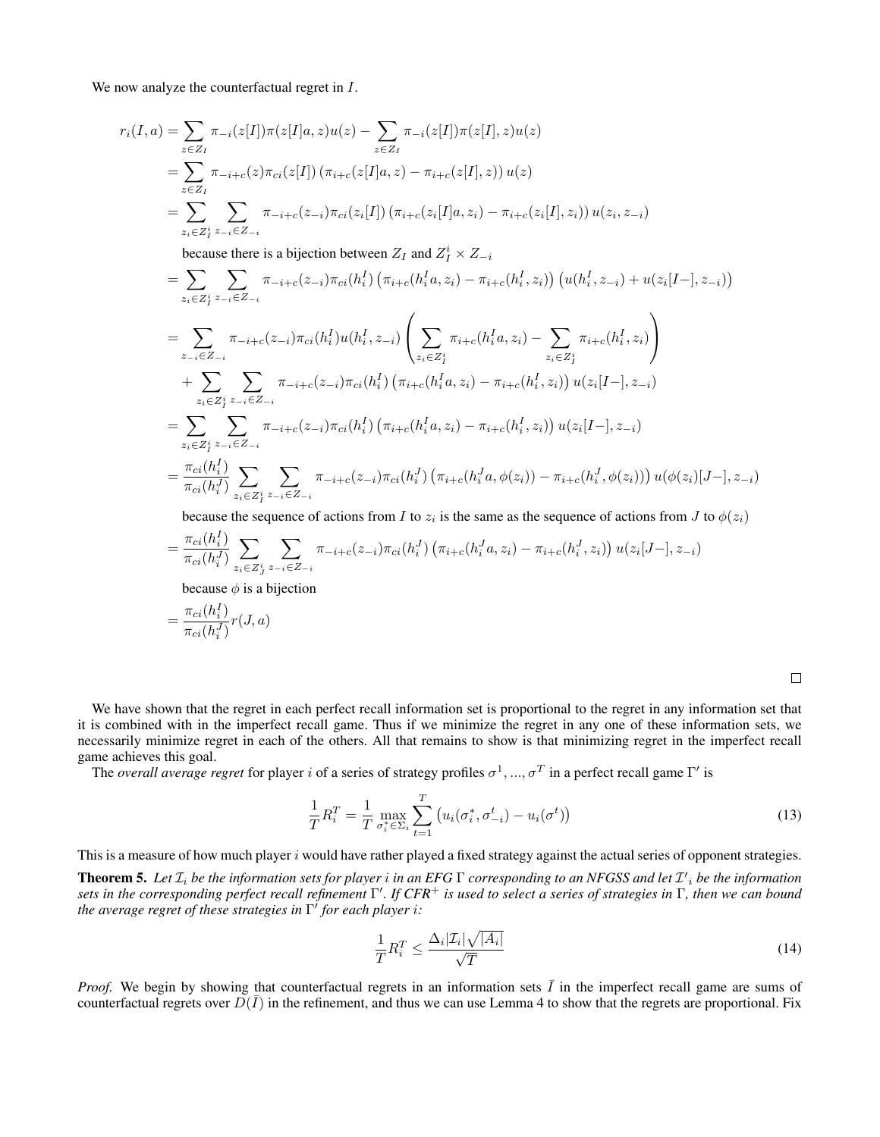We now analyze the counterfactual regret in *.* 

$$
r_i(I, a) = \sum_{z \in Z_I} \pi_{-i}(z[I])\pi(z[I]a, z)u(z) - \sum_{z \in Z_I} \pi_{-i}(z[I])\pi(z[I], z)u(z)
$$
  
= 
$$
\sum_{z \in Z_I} \pi_{-i+c}(z)\pi_{ci}(z[I]) (\pi_{i+c}(z[I]a, z) - \pi_{i+c}(z[I], z)) u(z)
$$
  
= 
$$
\sum_{z_i \in Z_I^i} \sum_{z_{-i} \in Z_{-i}} \pi_{-i+c}(z_{-i})\pi_{ci}(z_i[I]) (\pi_{i+c}(z_i[I]a, z_i) - \pi_{i+c}(z_i[I], z_i)) u(z_i, z_{-i})
$$

because there is a bijection between  $Z_I$  and  $Z_I^i \times Z_{-i}$ 

$$
= \sum_{z_i \in Z_i^i} \sum_{z_{-i} \in Z_{-i}} \pi_{-i+c}(z_{-i}) \pi_{ci}(h_i^I) \left(\pi_{i+c}(h_i^I a, z_i) - \pi_{i+c}(h_i^I, z_i)\right) \left(u(h_i^I, z_{-i}) + u(z_i[I-], z_{-i})\right)
$$
  
\n
$$
= \sum_{z_{-i} \in Z_{-i}} \pi_{-i+c}(z_{-i}) \pi_{ci}(h_i^I) u(h_i^I, z_{-i}) \left(\sum_{z_i \in Z_i^i} \pi_{i+c}(h_i^I a, z_i) - \sum_{z_i \in Z_i^i} \pi_{i+c}(h_i^I, z_i)\right)
$$
  
\n
$$
+ \sum_{z_i \in Z_i^i} \sum_{z_{-i} \in Z_{-i}} \pi_{-i+c}(z_{-i}) \pi_{ci}(h_i^I) \left(\pi_{i+c}(h_i^I a, z_i) - \pi_{i+c}(h_i^I, z_i)\right) u(z_i[I-], z_{-i})
$$
  
\n
$$
= \sum_{z_i \in Z_i^i} \sum_{z_{-i} \in Z_{-i}} \pi_{-i+c}(z_{-i}) \pi_{ci}(h_i^I) \left(\pi_{i+c}(h_i^I a, z_i) - \pi_{i+c}(h_i^I, z_i)\right) u(z_i[I-], z_{-i})
$$
  
\n
$$
= \frac{\pi_{ci}(h_i^I)}{\pi_{ci}(h_i^J)} \sum_{z_i \in Z_i^i} \sum_{z_{-i} \in Z_{-i}} \pi_{-i+c}(z_{-i}) \pi_{ci}(h_i^J) \left(\pi_{i+c}(h_i^J a, \phi(z_i)) - \pi_{i+c}(h_i^J, \phi(z_i))\right) u(\phi(z_i)[J-], z_{-i})
$$

because the sequence of actions from I to  $z_i$  is the same as the sequence of actions from J to  $\phi(z_i)$ 

$$
= \frac{\pi_{ci}(h_i^I)}{\pi_{ci}(h_i^J)} \sum_{z_i \in Z_j^i} \sum_{z_{-i} \in Z_{-i}} \pi_{-i+c}(z_{-i}) \pi_{ci}(h_i^J) \left(\pi_{i+c}(h_i^J a, z_i) - \pi_{i+c}(h_i^J, z_i)\right) u(z_i[J-], z_{-i})
$$
  
because  $\phi$  is a bijection  

$$
= \frac{\pi_{ci}(h_i^I)}{\pi_{ci}(h_i^J)} r(J, a)
$$

We have shown that the regret in each perfect recall information set is proportional to the regret in any information set that it is combined with in the imperfect recall game. Thus if we minimize the regret in any one of these information sets, we necessarily minimize regret in each of the others. All that remains to show is that minimizing regret in the imperfect recall game achieves this goal.

The *overall average regret* for player *i* of a series of strategy profiles  $\sigma^1, ..., \sigma^T$  in a perfect recall game Γ' is

$$
\frac{1}{T}R_i^T = \frac{1}{T} \max_{\sigma_i^* \in \Sigma_i} \sum_{t=1}^T \left( u_i(\sigma_i^*, \sigma_{-i}^t) - u_i(\sigma^t) \right)
$$
\n(13)

This is a measure of how much player i would have rather played a fixed strategy against the actual series of opponent strategies. **Theorem 5.** Let  $\mathcal{I}_i$  be the information sets for player i in an EFG  $\Gamma$  corresponding to an NFGSS and let  $\mathcal{I}'_i$  be the information

*sets in the corresponding perfect recall refinement* Γ 0 *. If CFR*<sup>+</sup> *is used to select a series of strategies in* Γ*, then we can bound the average regret of these strategies in* Γ 0 *for each player* i*:*

$$
\frac{1}{T}R_i^T \le \frac{\Delta_i |\mathcal{I}_i| \sqrt{|A_i|}}{\sqrt{T}}\tag{14}
$$

*Proof.* We begin by showing that counterfactual regrets in an information sets  $\bar{I}$  in the imperfect recall game are sums of counterfactual regrets over  $\tilde{D}(\bar{I})$  in the refinement, and thus we can use Lemma 4 to show that the regrets are proportional. Fix